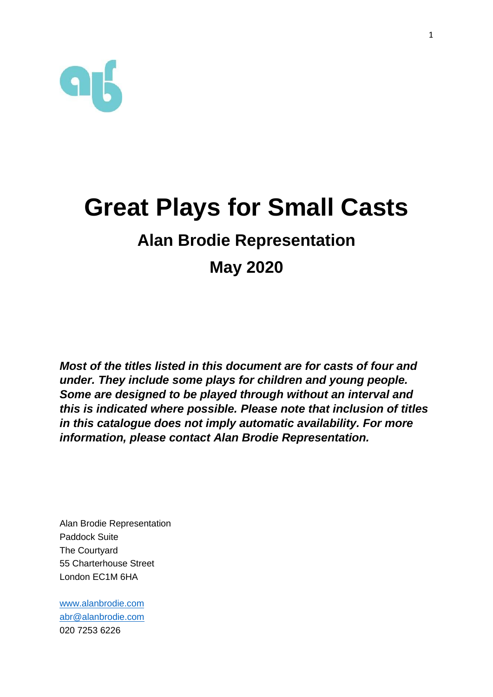

# **Great Plays for Small Casts Alan Brodie Representation May 2020**

*Most of the titles listed in this document are for casts of four and under. They include some plays for children and young people. Some are designed to be played through without an interval and this is indicated where possible. Please note that inclusion of titles in this catalogue does not imply automatic availability. For more information, please contact Alan Brodie Representation.*

Alan Brodie Representation Paddock Suite The Courtyard 55 Charterhouse Street London EC1M 6HA

[www.alanbrodie.com](http://www.alanbrodie.com/) [abr@alanbrodie.com](mailto:abr@alanbrodie.com) 020 7253 6226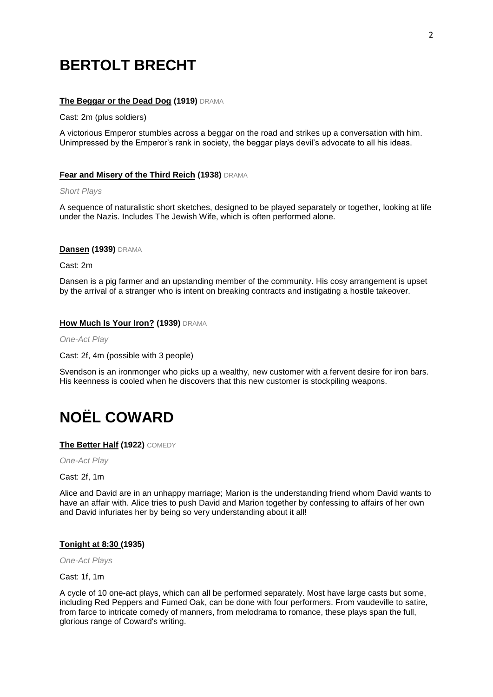# **BERTOLT BRECHT**

### **The Beggar or the Dead Dog (1919)** DRAMA

Cast: 2m (plus soldiers)

A victorious Emperor stumbles across a beggar on the road and strikes up a conversation with him. Unimpressed by the Emperor's rank in society, the beggar plays devil's advocate to all his ideas.

#### **Fear and Misery of the Third Reich (1938)** DRAMA

*Short Plays*

A sequence of naturalistic short sketches, designed to be played separately or together, looking at life under the Nazis. Includes The Jewish Wife, which is often performed alone.

#### **Dansen (1939)** DRAMA

Cast: 2m

Dansen is a pig farmer and an upstanding member of the community. His cosy arrangement is upset by the arrival of a stranger who is intent on breaking contracts and instigating a hostile takeover.

### **How Much Is Your Iron? (1939)** DRAMA

*One-Act Play*

Cast: 2f, 4m (possible with 3 people)

Svendson is an ironmonger who picks up a wealthy, new customer with a fervent desire for iron bars. His keenness is cooled when he discovers that this new customer is stockpiling weapons.

# **NOËL COWARD**

**The Better Half (1922)** COMEDY

*One-Act Play*

Cast: 2f, 1m

Alice and David are in an unhappy marriage; Marion is the understanding friend whom David wants to have an affair with. Alice tries to push David and Marion together by confessing to affairs of her own and David infuriates her by being so very understanding about it all!

#### **Tonight at 8:30 (1935)**

*One-Act Plays*

Cast: 1f, 1m

A cycle of 10 one-act plays, which can all be performed separately. Most have large casts but some, including Red Peppers and Fumed Oak, can be done with four performers. From vaudeville to satire, from farce to intricate comedy of manners, from melodrama to romance, these plays span the full, glorious range of Coward's writing.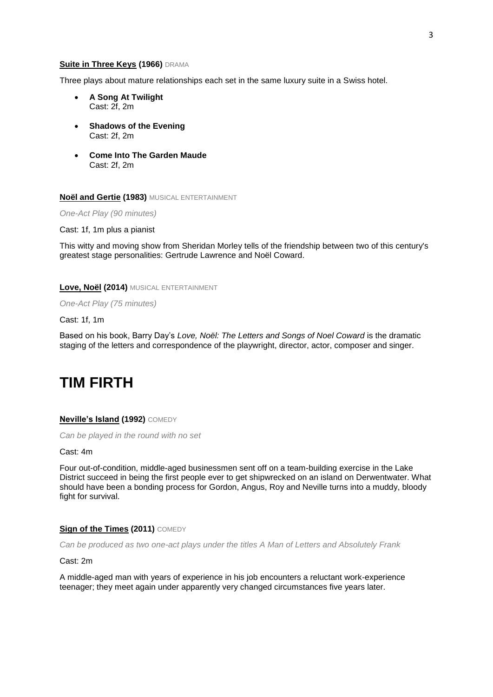#### **Suite in Three Keys (1966)** DRAMA

Three plays about mature relationships each set in the same luxury suite in a Swiss hotel.

- **A Song At Twilight** Cast: 2f, 2m
- **Shadows of the Evening** Cast: 2f, 2m
- **Come Into The Garden Maude** Cast: 2f, 2m

**Noël and Gertie (1983)** MUSICAL ENTERTAINMENT

*One-Act Play (90 minutes)*

Cast: 1f, 1m plus a pianist

This witty and moving show from Sheridan Morley tells of the friendship between two of this century's greatest stage personalities: Gertrude Lawrence and Noël Coward.

**Love, Noël (2014)** MUSICAL ENTERTAINMENT

*One-Act Play (75 minutes)*

Cast: 1f, 1m

Based on his book, Barry Day's *Love, Noël: The Letters and Songs of Noel Coward* is the dramatic staging of the letters and correspondence of the playwright, director, actor, composer and singer.

# **TIM FIRTH**

### **Neville's Island (1992)** COMEDY

*Can be played in the round with no set*

Cast: 4m

Four out-of-condition, middle-aged businessmen sent off on a team-building exercise in the Lake District succeed in being the first people ever to get shipwrecked on an island on Derwentwater. What should have been a bonding process for Gordon, Angus, Roy and Neville turns into a muddy, bloody fight for survival.

#### **Sign of the Times (2011) COMEDY**

*Can be produced as two one-act plays under the titles A Man of Letters and Absolutely Frank*

Cast: 2m

A middle-aged man with years of experience in his job encounters a reluctant work-experience teenager; they meet again under apparently very changed circumstances five years later.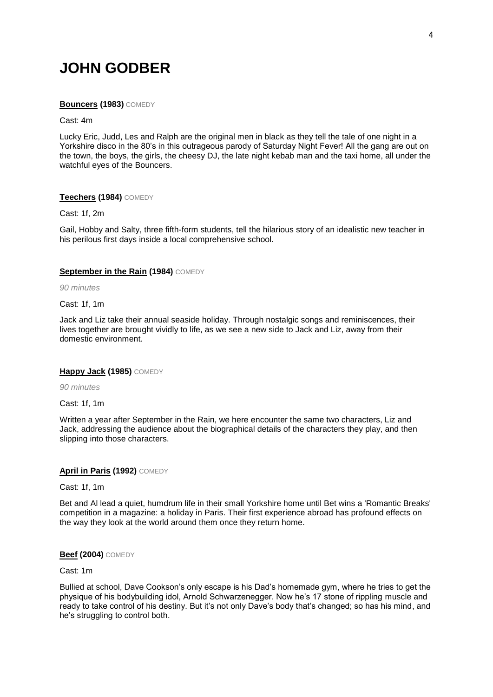# **JOHN GODBER**

#### **Bouncers (1983)** COMEDY

#### Cast: 4m

Lucky Eric, Judd, Les and Ralph are the original men in black as they tell the tale of one night in a Yorkshire disco in the 80's in this outrageous parody of Saturday Night Fever! All the gang are out on the town, the boys, the girls, the cheesy DJ, the late night kebab man and the taxi home, all under the watchful eyes of the Bouncers.

### **Teechers (1984)** COMEDY

Cast: 1f, 2m

Gail, Hobby and Salty, three fifth-form students, tell the hilarious story of an idealistic new teacher in his perilous first days inside a local comprehensive school.

### **September in the Rain (1984) COMEDY**

*90 minutes*

#### Cast: 1f, 1m

Jack and Liz take their annual seaside holiday. Through nostalgic songs and reminiscences, their lives together are brought vividly to life, as we see a new side to Jack and Liz, away from their domestic environment.

### **Happy Jack (1985)** COMEDY

*90 minutes*

Cast: 1f, 1m

Written a year after September in the Rain, we here encounter the same two characters, Liz and Jack, addressing the audience about the biographical details of the characters they play, and then slipping into those characters.

### **April in Paris (1992)** COMEDY

Cast: 1f, 1m

Bet and Al lead a quiet, humdrum life in their small Yorkshire home until Bet wins a 'Romantic Breaks' competition in a magazine: a holiday in Paris. Their first experience abroad has profound effects on the way they look at the world around them once they return home.

#### **Beef (2004)** COMEDY

Cast: 1m

Bullied at school, Dave Cookson's only escape is his Dad's homemade gym, where he tries to get the physique of his bodybuilding idol, Arnold Schwarzenegger. Now he's 17 stone of rippling muscle and ready to take control of his destiny. But it's not only Dave's body that's changed; so has his mind, and he's struggling to control both.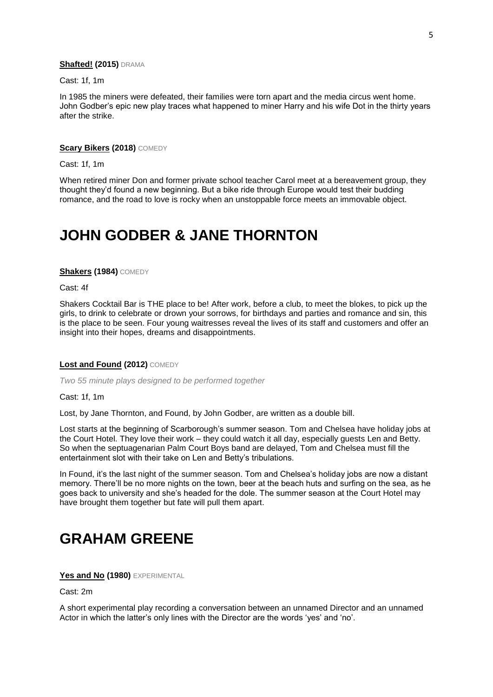#### **Shafted! (2015)** DRAMA

Cast: 1f, 1m

In 1985 the miners were defeated, their families were torn apart and the media circus went home. John Godber's epic new play traces what happened to miner Harry and his wife Dot in the thirty years after the strike.

# **Scary Bikers (2018)** COMEDY

Cast: 1f, 1m

When retired miner Don and former private school teacher Carol meet at a bereavement group, they thought they'd found a new beginning. But a bike ride through Europe would test their budding romance, and the road to love is rocky when an unstoppable force meets an immovable object.

# **JOHN GODBER & JANE THORNTON**

# **Shakers (1984)** COMEDY

Cast: 4f

Shakers Cocktail Bar is THE place to be! After work, before a club, to meet the blokes, to pick up the girls, to drink to celebrate or drown your sorrows, for birthdays and parties and romance and sin, this is the place to be seen. Four young waitresses reveal the lives of its staff and customers and offer an insight into their hopes, dreams and disappointments.

#### **Lost and Found (2012)** COMEDY

*Two 55 minute plays designed to be performed together*

Cast: 1f, 1m

Lost, by Jane Thornton, and Found, by John Godber, are written as a double bill.

Lost starts at the beginning of Scarborough's summer season. Tom and Chelsea have holiday jobs at the Court Hotel. They love their work – they could watch it all day, especially guests Len and Betty. So when the septuagenarian Palm Court Boys band are delayed, Tom and Chelsea must fill the entertainment slot with their take on Len and Betty's tribulations.

In Found, it's the last night of the summer season. Tom and Chelsea's holiday jobs are now a distant memory. There'll be no more nights on the town, beer at the beach huts and surfing on the sea, as he goes back to university and she's headed for the dole. The summer season at the Court Hotel may have brought them together but fate will pull them apart.

# **GRAHAM GREENE**

**Yes and No (1980)** EXPERIMENTAL

Cast: 2m

A short experimental play recording a conversation between an unnamed Director and an unnamed Actor in which the latter's only lines with the Director are the words 'yes' and 'no'.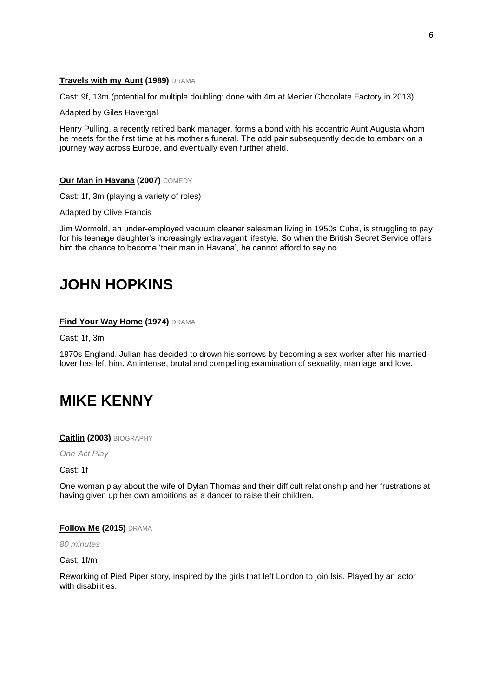### **Travels with my Aunt (1989)** DRAMA

Cast: 9f, 13m (potential for multiple doubling; done with 4m at Menier Chocolate Factory in 2013)

Adapted by Giles Havergal

Henry Pulling, a recently retired bank manager, forms a bond with his eccentric Aunt Augusta whom he meets for the first time at his mother's funeral. The odd pair subsequently decide to embark on a journey way across Europe, and eventually even further afield.

### **Our Man in Havana (2007)** COMEDY

Cast: 1f, 3m (playing a variety of roles)

Adapted by Clive Francis

Jim Wormold, an under-employed vacuum cleaner salesman living in 1950s Cuba, is struggling to pay for his teenage daughter's increasingly extravagant lifestyle. So when the British Secret Service offers him the chance to become 'their man in Havana', he cannot afford to say no.

# **JOHN HOPKINS**

### **Find Your Way Home (1974)** DRAMA

Cast: 1f, 3m

1970s England. Julian has decided to drown his sorrows by becoming a sex worker after his married lover has left him. An intense, brutal and compelling examination of sexuality, marriage and love.

# **MIKE KENNY**

**Caitlin (2003)** BIOGRAPHY

*One-Act Play*

Cast: 1f

One woman play about the wife of Dylan Thomas and their difficult relationship and her frustrations at having given up her own ambitions as a dancer to raise their children.

### **Follow Me (2015)** DRAMA

*80 minutes*

Cast: 1f/m

Reworking of Pied Piper story, inspired by the girls that left London to join Isis. Played by an actor with disabilities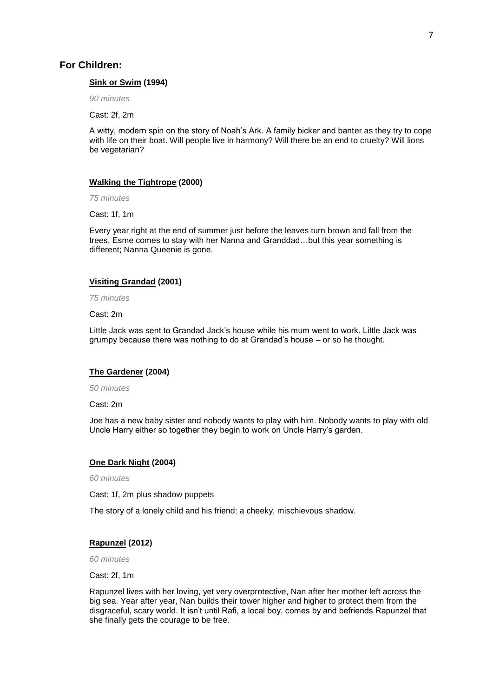#### **Sink or Swim (1994)**

*90 minutes*

Cast: 2f, 2m

A witty, modern spin on the story of Noah's Ark. A family bicker and banter as they try to cope with life on their boat. Will people live in harmony? Will there be an end to cruelty? Will lions be vegetarian?

#### **Walking the Tightrope (2000)**

*75 minutes*

Cast: 1f, 1m

Every year right at the end of summer just before the leaves turn brown and fall from the trees, Esme comes to stay with her Nanna and Granddad…but this year something is different; Nanna Queenie is gone.

#### **Visiting Grandad (2001)**

*75 minutes*

Cast: 2m

Little Jack was sent to Grandad Jack's house while his mum went to work. Little Jack was grumpy because there was nothing to do at Grandad's house – or so he thought.

#### **The Gardener (2004)**

*50 minutes*

Cast: 2m

Joe has a new baby sister and nobody wants to play with him. Nobody wants to play with old Uncle Harry either so together they begin to work on Uncle Harry's garden.

#### **One Dark Night (2004)**

*60 minutes*

Cast: 1f, 2m plus shadow puppets

The story of a lonely child and his friend: a cheeky, mischievous shadow.

### **Rapunzel (2012)**

*60 minutes*

Cast: 2f, 1m

Rapunzel lives with her loving, yet very overprotective, Nan after her mother left across the big sea. Year after year, Nan builds their tower higher and higher to protect them from the disgraceful, scary world. It isn't until Rafi, a local boy, comes by and befriends Rapunzel that she finally gets the courage to be free.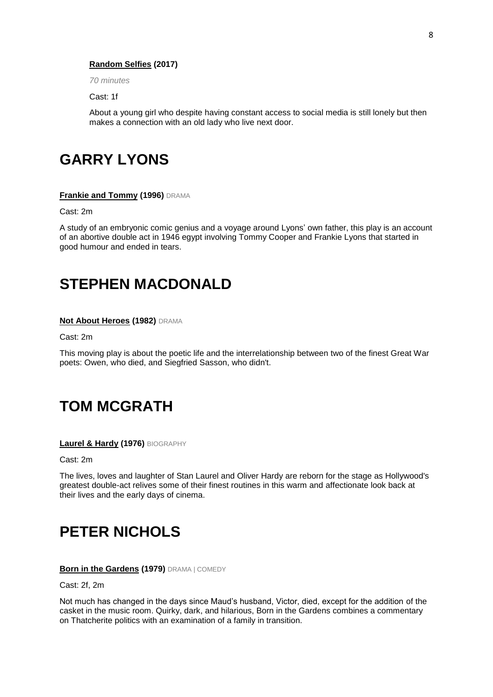# **Random Selfies (2017)**

*70 minutes*

Cast: 1f

About a young girl who despite having constant access to social media is still lonely but then makes a connection with an old lady who live next door.

# **GARRY LYONS**

#### **Frankie and Tommy (1996)** DRAMA

Cast: 2m

A study of an embryonic comic genius and a voyage around Lyons' own father, this play is an account of an abortive double act in 1946 egypt involving Tommy Cooper and Frankie Lyons that started in good humour and ended in tears.

# **STEPHEN MACDONALD**

#### **Not About Heroes (1982)** DRAMA

Cast: 2m

This moving play is about the poetic life and the interrelationship between two of the finest Great War poets: Owen, who died, and Siegfried Sasson, who didn't.

# **TOM MCGRATH**

#### **Laurel & Hardy (1976)** BIOGRAPHY

Cast: 2m

The lives, loves and laughter of Stan Laurel and Oliver Hardy are reborn for the stage as Hollywood's greatest double-act relives some of their finest routines in this warm and affectionate look back at their lives and the early days of cinema.

# **PETER NICHOLS**

### **Born in the Gardens (1979)** DRAMA | COMEDY

Cast: 2f, 2m

Not much has changed in the days since Maud's husband, Victor, died, except for the addition of the casket in the music room. Quirky, dark, and hilarious, Born in the Gardens combines a commentary on Thatcherite politics with an examination of a family in transition.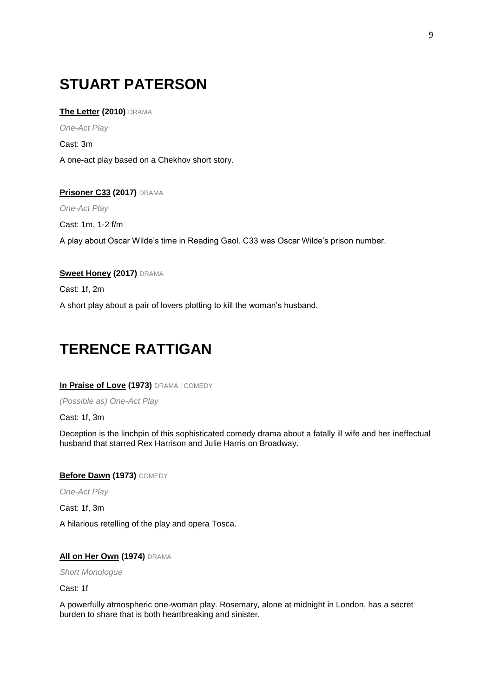# **STUART PATERSON**

# **The Letter (2010)** DRAMA

*One-Act Play*

Cast: 3m

A one-act play based on a Chekhov short story.

# **Prisoner C33 (2017)** DRAMA

*One-Act Play*

Cast: 1m, 1-2 f/m A play about Oscar Wilde's time in Reading Gaol. C33 was Oscar Wilde's prison number.

# **Sweet Honey (2017)** DRAMA

Cast: 1f, 2m

A short play about a pair of lovers plotting to kill the woman's husband.

# **TERENCE RATTIGAN**

# **In Praise of Love (1973)** DRAMA | COMEDY

*(Possible as) One-Act Play*

Cast: 1f, 3m

Deception is the linchpin of this sophisticated comedy drama about a fatally ill wife and her ineffectual husband that starred Rex Harrison and Julie Harris on Broadway.

# **Before Dawn (1973)** COMEDY

*One-Act Play*

Cast: 1f, 3m

A hilarious retelling of the play and opera Tosca.

# **All on Her Own (1974)** DRAMA

*Short Monologue*

Cast: 1f

A powerfully atmospheric one-woman play. Rosemary, alone at midnight in London, has a secret burden to share that is both heartbreaking and sinister.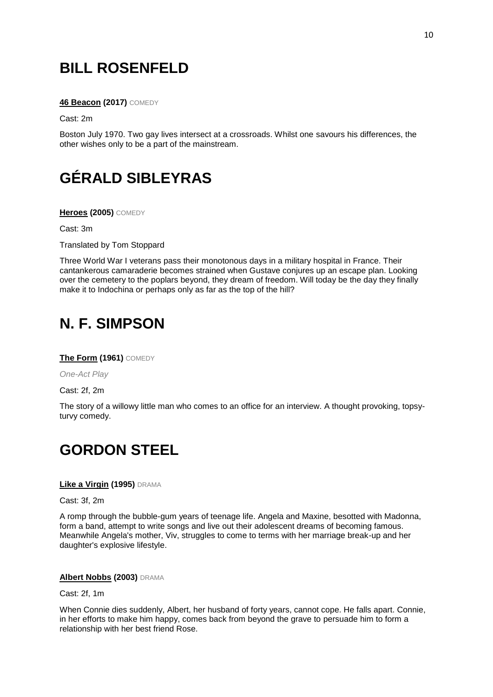# **BILL ROSENFELD**

**46 Beacon (2017)** COMEDY

Cast: 2m

Boston July 1970. Two gay lives intersect at a crossroads. Whilst one savours his differences, the other wishes only to be a part of the mainstream.

# **GÉRALD SIBLEYRAS**

**Heroes (2005)** COMEDY

Cast: 3m

Translated by Tom Stoppard

Three World War I veterans pass their monotonous days in a military hospital in France. Their cantankerous camaraderie becomes strained when Gustave conjures up an escape plan. Looking over the cemetery to the poplars beyond, they dream of freedom. Will today be the day they finally make it to Indochina or perhaps only as far as the top of the hill?

# **N. F. SIMPSON**

**The Form (1961)** COMEDY

*One-Act Play*

Cast: 2f, 2m

The story of a willowy little man who comes to an office for an interview. A thought provoking, topsyturvy comedy.

# **GORDON STEEL**

# **Like a Virgin (1995)** DRAMA

Cast: 3f, 2m

A romp through the bubble-gum years of teenage life. Angela and Maxine, besotted with Madonna, form a band, attempt to write songs and live out their adolescent dreams of becoming famous. Meanwhile Angela's mother, Viv, struggles to come to terms with her marriage break-up and her daughter's explosive lifestyle.

### **Albert Nobbs (2003)** DRAMA

Cast: 2f, 1m

When Connie dies suddenly, Albert, her husband of forty years, cannot cope. He falls apart. Connie, in her efforts to make him happy, comes back from beyond the grave to persuade him to form a relationship with her best friend Rose.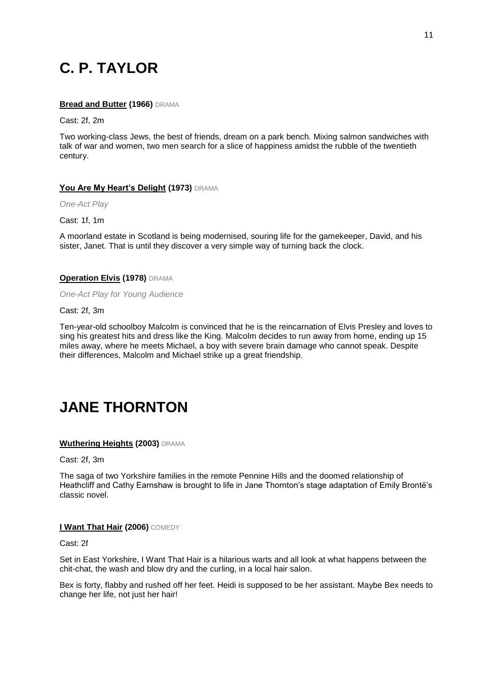# **C. P. TAYLOR**

# **Bread and Butter (1966)** DRAMA

Cast: 2f, 2m

Two working-class Jews, the best of friends, dream on a park bench. Mixing salmon sandwiches with talk of war and women, two men search for a slice of happiness amidst the rubble of the twentieth century.

# **You Are My Heart's Delight (1973)** DRAMA

*One-Act Play*

Cast: 1f, 1m

A moorland estate in Scotland is being modernised, souring life for the gamekeeper, David, and his sister, Janet. That is until they discover a very simple way of turning back the clock.

# **Operation Elvis (1978)** DRAMA

*One-Act Play for Young Audience*

Cast: 2f, 3m

Ten-year-old schoolboy Malcolm is convinced that he is the reincarnation of Elvis Presley and loves to sing his greatest hits and dress like the King. Malcolm decides to run away from home, ending up 15 miles away, where he meets Michael, a boy with severe brain damage who cannot speak. Despite their differences, Malcolm and Michael strike up a great friendship.

# **JANE THORNTON**

# **Wuthering Heights (2003)** DRAMA

Cast: 2f, 3m

The saga of two Yorkshire families in the remote Pennine Hills and the doomed relationship of Heathcliff and Cathy Earnshaw is brought to life in Jane Thornton's stage adaptation of Emily Brontë's classic novel.

### **I Want That Hair (2006)** COMEDY

Cast: 2f

Set in East Yorkshire, I Want That Hair is a hilarious warts and all look at what happens between the chit-chat, the wash and blow dry and the curling, in a local hair salon.

Bex is forty, flabby and rushed off her feet. Heidi is supposed to be her assistant. Maybe Bex needs to change her life, not just her hair!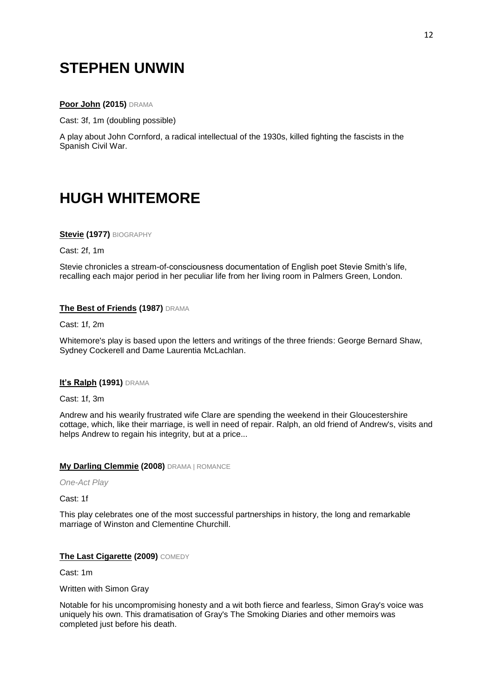# **STEPHEN UNWIN**

# **Poor John (2015)** DRAMA

Cast: 3f, 1m (doubling possible)

A play about John Cornford, a radical intellectual of the 1930s, killed fighting the fascists in the Spanish Civil War.

# **HUGH WHITEMORE**

**Stevie (1977)** BIOGRAPHY

Cast: 2f, 1m

Stevie chronicles a stream-of-consciousness documentation of English poet Stevie Smith's life, recalling each major period in her peculiar life from her living room in Palmers Green, London.

# **The Best of Friends (1987)** DRAMA

Cast: 1f, 2m

Whitemore's play is based upon the letters and writings of the three friends: George Bernard Shaw, Sydney Cockerell and Dame Laurentia McLachlan.

# **It's Ralph (1991)** DRAMA

Cast: 1f, 3m

Andrew and his wearily frustrated wife Clare are spending the weekend in their Gloucestershire cottage, which, like their marriage, is well in need of repair. Ralph, an old friend of Andrew's, visits and helps Andrew to regain his integrity, but at a price...

### **My Darling Clemmie (2008)** DRAMA | ROMANCE

*One-Act Play*

Cast: 1f

This play celebrates one of the most successful partnerships in history, the long and remarkable marriage of Winston and Clementine Churchill.

### **The Last Cigarette (2009)** COMEDY

Cast: 1m

Written with Simon Gray

Notable for his uncompromising honesty and a wit both fierce and fearless, Simon Gray's voice was uniquely his own. This dramatisation of Gray's The Smoking Diaries and other memoirs was completed just before his death.